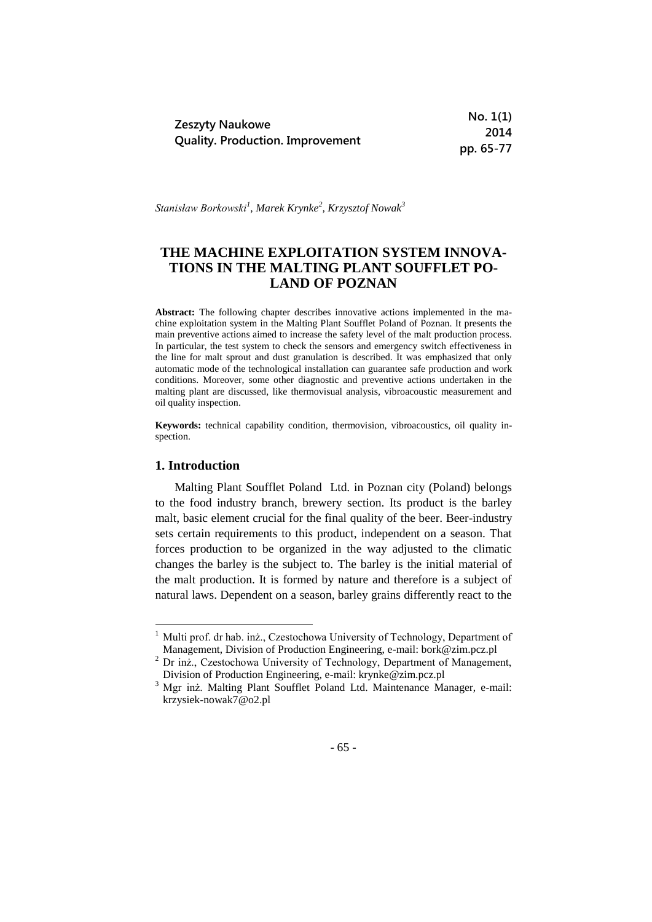|                                         | No. 1(1)  |
|-----------------------------------------|-----------|
| <b>Zeszyty Naukowe</b>                  | 2014      |
| <b>Quality. Production. Improvement</b> | pp. 65-77 |

*Stanisław Borkowski<sup>1</sup> , Marek Krynke<sup>2</sup> , Krzysztof Nowak<sup>3</sup>*

# **THE MACHINE EXPLOITATION SYSTEM INNOVA-TIONS IN THE MALTING PLANT SOUFFLET PO-LAND OF POZNAN**

**Abstract:** The following chapter describes innovative actions implemented in the machine exploitation system in the Malting Plant Soufflet Poland of Poznan. It presents the main preventive actions aimed to increase the safety level of the malt production process. In particular, the test system to check the sensors and emergency switch effectiveness in the line for malt sprout and dust granulation is described. It was emphasized that only automatic mode of the technological installation can guarantee safe production and work conditions. Moreover, some other diagnostic and preventive actions undertaken in the malting plant are discussed, like thermovisual analysis, vibroacoustic measurement and oil quality inspection.

**Keywords:** technical capability condition, thermovision, vibroacoustics, oil quality inspection.

# **1. Introduction**

-

Malting Plant Soufflet Poland Ltd. in Poznan city (Poland) belongs to the food industry branch, brewery section. Its product is the barley malt, basic element crucial for the final quality of the beer. Beer-industry sets certain requirements to this product, independent on a season. That forces production to be organized in the way adjusted to the climatic changes the barley is the subject to. The barley is the initial material of the malt production. It is formed by nature and therefore is a subject of natural laws. Dependent on a season, barley grains differently react to the

<sup>&</sup>lt;sup>1</sup> Multi prof. dr hab. inż., Czestochowa University of Technology, Department of Management, Division of Production Engineering, e-mail: bork@zim.pcz.pl

<sup>&</sup>lt;sup>2</sup> Dr inż., Czestochowa University of Technology, Department of Management, Division of Production Engineering, e-mail: krynke@zim.pcz.pl

<sup>3</sup> Mgr inż. Malting Plant Soufflet Poland Ltd. Maintenance Manager, e-mail: krzysiek-nowak7@o2.pl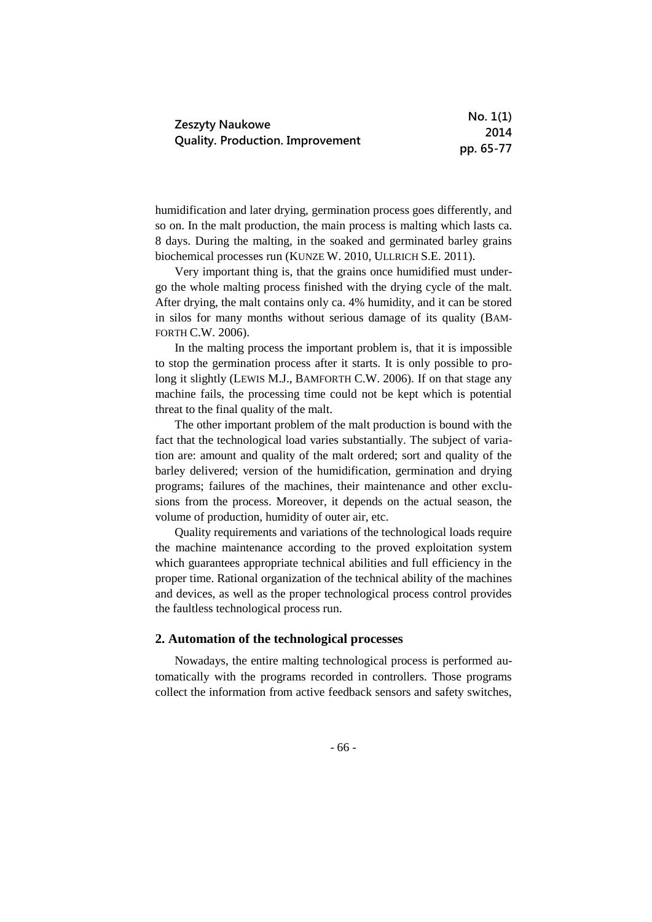|                                         | No. 1(1)  |
|-----------------------------------------|-----------|
| Zeszyty Naukowe                         | 2014      |
| <b>Quality. Production. Improvement</b> | pp. 65-77 |

humidification and later drying, germination process goes differently, and so on. In the malt production, the main process is malting which lasts ca. 8 days. During the malting, in the soaked and germinated barley grains biochemical processes run (KUNZE W. 2010, ULLRICH S.E. 2011).

Very important thing is, that the grains once humidified must undergo the whole malting process finished with the drying cycle of the malt. After drying, the malt contains only ca. 4% humidity, and it can be stored in silos for many months without serious damage of its quality (BAM-FORTH C.W. 2006).

In the malting process the important problem is, that it is impossible to stop the germination process after it starts. It is only possible to prolong it slightly (LEWIS M.J., BAMFORTH C.W. 2006). If on that stage any machine fails, the processing time could not be kept which is potential threat to the final quality of the malt.

The other important problem of the malt production is bound with the fact that the technological load varies substantially. The subject of variation are: amount and quality of the malt ordered; sort and quality of the barley delivered; version of the humidification, germination and drying programs; failures of the machines, their maintenance and other exclusions from the process. Moreover, it depends on the actual season, the volume of production, humidity of outer air, etc.

Quality requirements and variations of the technological loads require the machine maintenance according to the proved exploitation system which guarantees appropriate technical abilities and full efficiency in the proper time. Rational organization of the technical ability of the machines and devices, as well as the proper technological process control provides the faultless technological process run.

## **2. Automation of the technological processes**

Nowadays, the entire malting technological process is performed automatically with the programs recorded in controllers. Those programs collect the information from active feedback sensors and safety switches,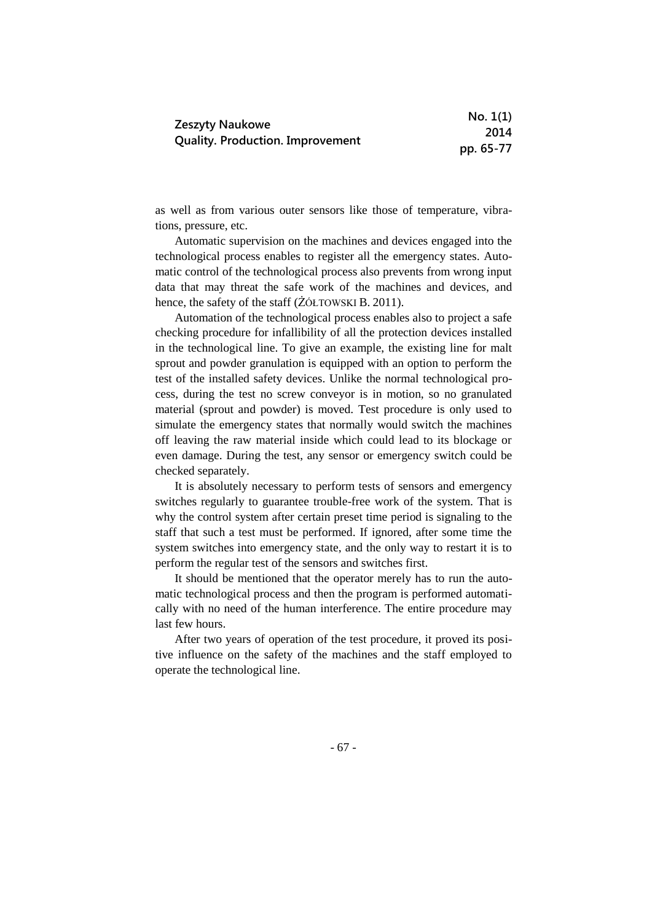|                                         | No. 1(1)  |
|-----------------------------------------|-----------|
| Zeszyty Naukowe                         | 2014      |
| <b>Quality. Production. Improvement</b> | pp. 65-77 |

as well as from various outer sensors like those of temperature, vibrations, pressure, etc.

Automatic supervision on the machines and devices engaged into the technological process enables to register all the emergency states. Automatic control of the technological process also prevents from wrong input data that may threat the safe work of the machines and devices, and hence, the safety of the staff ( $\angle$ ÓŁTOWSKI B. 2011).

Automation of the technological process enables also to project a safe checking procedure for infallibility of all the protection devices installed in the technological line. To give an example, the existing line for malt sprout and powder granulation is equipped with an option to perform the test of the installed safety devices. Unlike the normal technological process, during the test no screw conveyor is in motion, so no granulated material (sprout and powder) is moved. Test procedure is only used to simulate the emergency states that normally would switch the machines off leaving the raw material inside which could lead to its blockage or even damage. During the test, any sensor or emergency switch could be checked separately.

It is absolutely necessary to perform tests of sensors and emergency switches regularly to guarantee trouble-free work of the system. That is why the control system after certain preset time period is signaling to the staff that such a test must be performed. If ignored, after some time the system switches into emergency state, and the only way to restart it is to perform the regular test of the sensors and switches first.

It should be mentioned that the operator merely has to run the automatic technological process and then the program is performed automatically with no need of the human interference. The entire procedure may last few hours.

After two years of operation of the test procedure, it proved its positive influence on the safety of the machines and the staff employed to operate the technological line.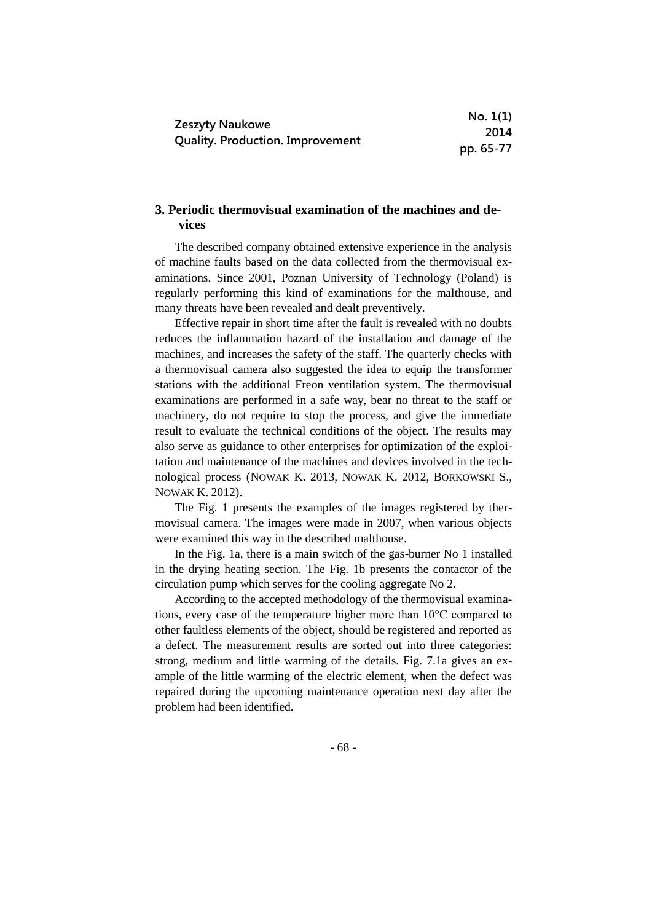|                                         | No. 1(1)  |
|-----------------------------------------|-----------|
| <b>Zeszyty Naukowe</b>                  | 2014      |
| <b>Quality. Production. Improvement</b> | pp. 65-77 |

# **3. Periodic thermovisual examination of the machines and devices**

The described company obtained extensive experience in the analysis of machine faults based on the data collected from the thermovisual examinations. Since 2001, Poznan University of Technology (Poland) is regularly performing this kind of examinations for the malthouse, and many threats have been revealed and dealt preventively.

Effective repair in short time after the fault is revealed with no doubts reduces the inflammation hazard of the installation and damage of the machines, and increases the safety of the staff. The quarterly checks with a thermovisual camera also suggested the idea to equip the transformer stations with the additional Freon ventilation system. The thermovisual examinations are performed in a safe way, bear no threat to the staff or machinery, do not require to stop the process, and give the immediate result to evaluate the technical conditions of the object. The results may also serve as guidance to other enterprises for optimization of the exploitation and maintenance of the machines and devices involved in the technological process (NOWAK K. 2013, NOWAK K. 2012, BORKOWSKI S., NOWAK K. 2012).

The Fig. 1 presents the examples of the images registered by thermovisual camera. The images were made in 2007, when various objects were examined this way in the described malthouse.

In the Fig. 1a, there is a main switch of the gas-burner No 1 installed in the drying heating section. The Fig. 1b presents the contactor of the circulation pump which serves for the cooling aggregate No 2.

According to the accepted methodology of the thermovisual examinations, every case of the temperature higher more than 10°C compared to other faultless elements of the object, should be registered and reported as a defect. The measurement results are sorted out into three categories: strong, medium and little warming of the details. Fig. 7.1a gives an example of the little warming of the electric element, when the defect was repaired during the upcoming maintenance operation next day after the problem had been identified.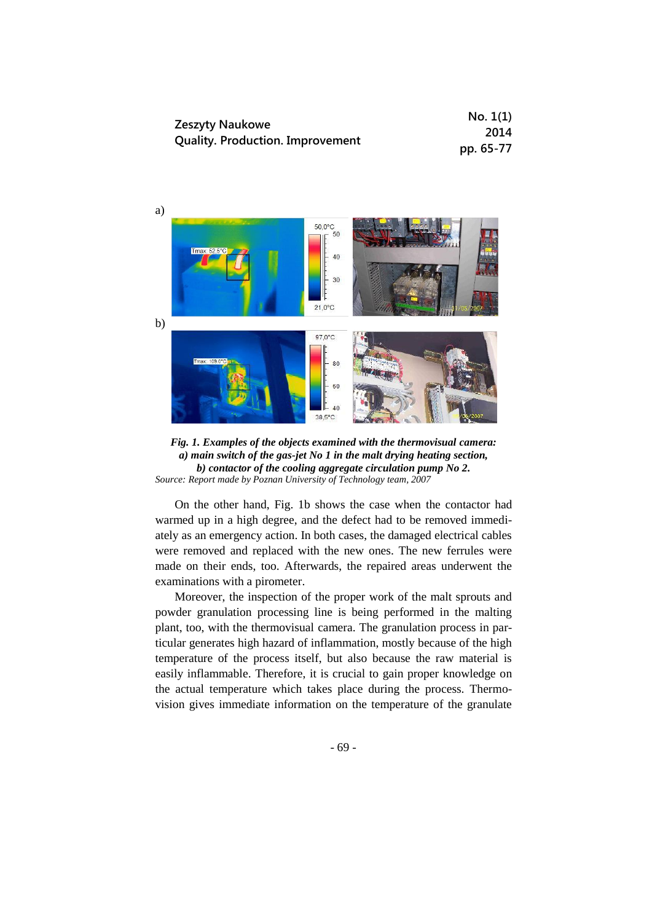|                                         | No. 1(1)  |
|-----------------------------------------|-----------|
| Zeszyty Naukowe                         | 2014      |
| <b>Quality. Production. Improvement</b> | pp. 65-77 |





On the other hand, Fig. 1b shows the case when the contactor had warmed up in a high degree, and the defect had to be removed immediately as an emergency action. In both cases, the damaged electrical cables were removed and replaced with the new ones. The new ferrules were made on their ends, too. Afterwards, the repaired areas underwent the examinations with a pirometer.

Moreover, the inspection of the proper work of the malt sprouts and powder granulation processing line is being performed in the malting plant, too, with the thermovisual camera. The granulation process in particular generates high hazard of inflammation, mostly because of the high temperature of the process itself, but also because the raw material is easily inflammable. Therefore, it is crucial to gain proper knowledge on the actual temperature which takes place during the process. Thermovision gives immediate information on the temperature of the granulate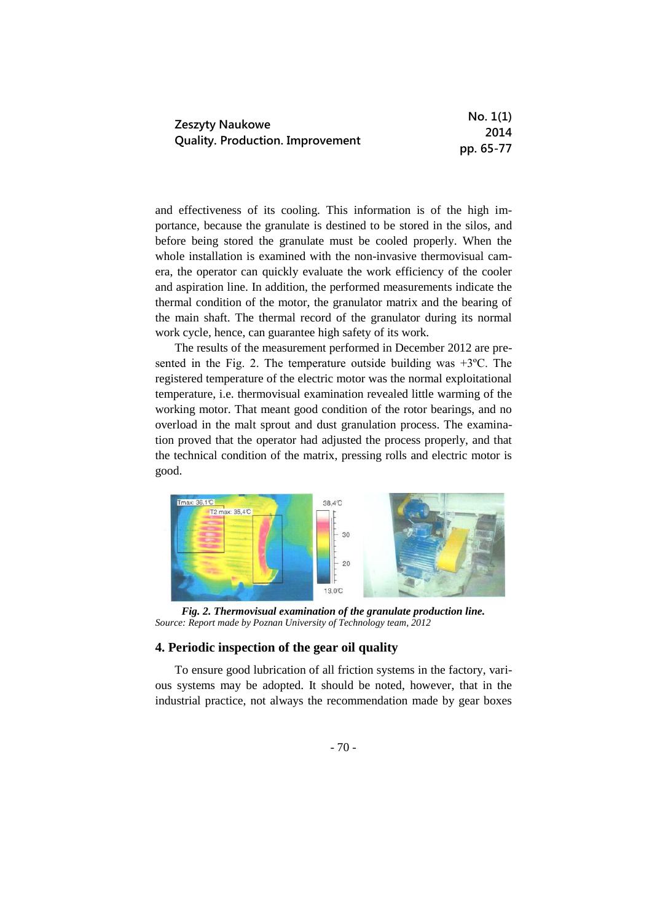|                                         | No. 1(1)  |
|-----------------------------------------|-----------|
| Zeszyty Naukowe                         | 2014      |
| <b>Quality. Production. Improvement</b> | pp. 65-77 |

and effectiveness of its cooling. This information is of the high importance, because the granulate is destined to be stored in the silos, and before being stored the granulate must be cooled properly. When the whole installation is examined with the non-invasive thermovisual camera, the operator can quickly evaluate the work efficiency of the cooler and aspiration line. In addition, the performed measurements indicate the thermal condition of the motor, the granulator matrix and the bearing of the main shaft. The thermal record of the granulator during its normal work cycle, hence, can guarantee high safety of its work.

The results of the measurement performed in December 2012 are presented in the Fig. 2. The temperature outside building was  $+3$ °C. The registered temperature of the electric motor was the normal exploitational temperature, i.e. thermovisual examination revealed little warming of the working motor. That meant good condition of the rotor bearings, and no overload in the malt sprout and dust granulation process. The examination proved that the operator had adjusted the process properly, and that the technical condition of the matrix, pressing rolls and electric motor is good.



*Fig. 2. Thermovisual examination of the granulate production line. Source: Report made by Poznan University of Technology team, 2012* 

### **4. Periodic inspection of the gear oil quality**

To ensure good lubrication of all friction systems in the factory, various systems may be adopted. It should be noted, however, that in the industrial practice, not always the recommendation made by gear boxes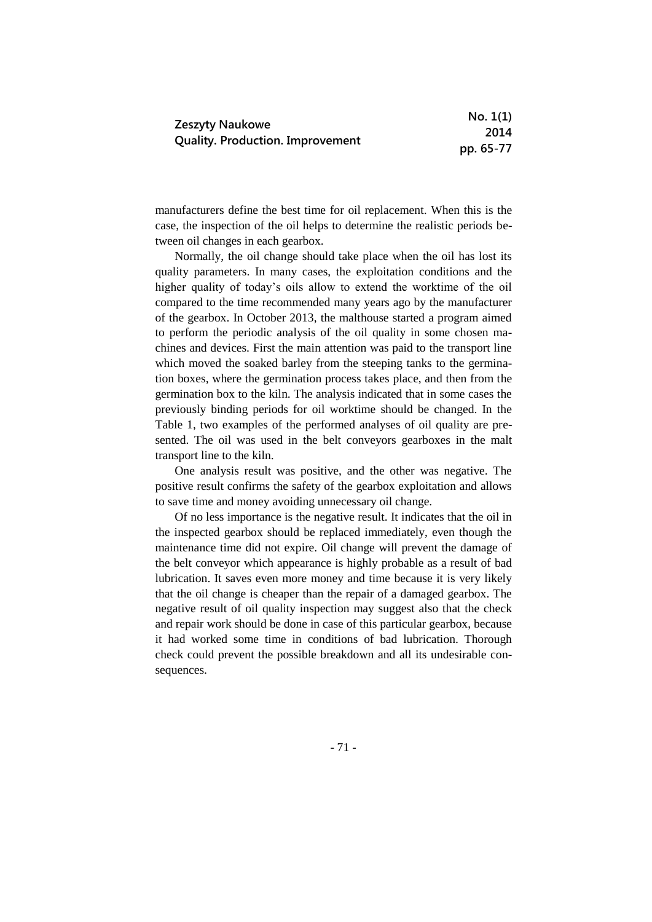| Zeszyty Naukowe<br><b>Quality. Production. Improvement</b> | No. 1(1)  |
|------------------------------------------------------------|-----------|
|                                                            | 2014      |
|                                                            | pp. 65-77 |

manufacturers define the best time for oil replacement. When this is the case, the inspection of the oil helps to determine the realistic periods between oil changes in each gearbox.

Normally, the oil change should take place when the oil has lost its quality parameters. In many cases, the exploitation conditions and the higher quality of today's oils allow to extend the worktime of the oil compared to the time recommended many years ago by the manufacturer of the gearbox. In October 2013, the malthouse started a program aimed to perform the periodic analysis of the oil quality in some chosen machines and devices. First the main attention was paid to the transport line which moved the soaked barley from the steeping tanks to the germination boxes, where the germination process takes place, and then from the germination box to the kiln. The analysis indicated that in some cases the previously binding periods for oil worktime should be changed. In the Table 1, two examples of the performed analyses of oil quality are presented. The oil was used in the belt conveyors gearboxes in the malt transport line to the kiln.

One analysis result was positive, and the other was negative. The positive result confirms the safety of the gearbox exploitation and allows to save time and money avoiding unnecessary oil change.

Of no less importance is the negative result. It indicates that the oil in the inspected gearbox should be replaced immediately, even though the maintenance time did not expire. Oil change will prevent the damage of the belt conveyor which appearance is highly probable as a result of bad lubrication. It saves even more money and time because it is very likely that the oil change is cheaper than the repair of a damaged gearbox. The negative result of oil quality inspection may suggest also that the check and repair work should be done in case of this particular gearbox, because it had worked some time in conditions of bad lubrication. Thorough check could prevent the possible breakdown and all its undesirable consequences.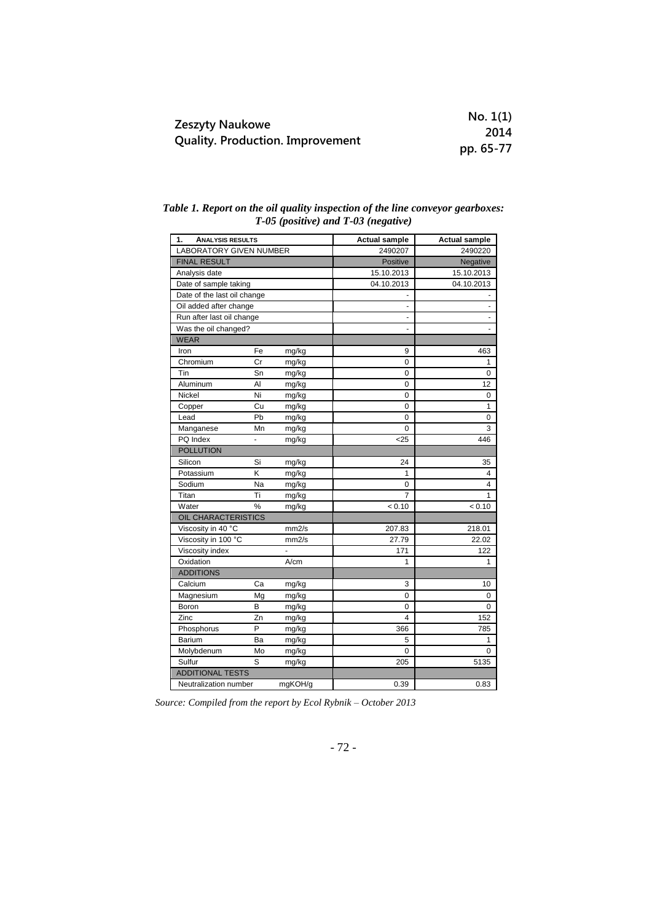|                                         | No. 1(1)  |
|-----------------------------------------|-----------|
| Zeszyty Naukowe                         | 2014      |
| <b>Quality. Production. Improvement</b> | pp. 65-77 |

|  |  |                                         |  | Table 1. Report on the oil quality inspection of the line conveyor gearboxes: |
|--|--|-----------------------------------------|--|-------------------------------------------------------------------------------|
|  |  | $T-05$ (positive) and $T-03$ (negative) |  |                                                                               |

| 1.<br><b>ANALYSIS RESULTS</b> |    | <b>Actual sample</b> | <b>Actual sample</b> |                |
|-------------------------------|----|----------------------|----------------------|----------------|
| LABORATORY GIVEN NUMBER       |    |                      | 2490207              | 2490220        |
| <b>FINAL RESULT</b>           |    |                      | Positive             | Negative       |
| Analysis date                 |    |                      | 15.10.2013           | 15.10.2013     |
| Date of sample taking         |    |                      | 04.10.2013           | 04.10.2013     |
| Date of the last oil change   |    |                      |                      |                |
| Oil added after change        |    |                      |                      |                |
| Run after last oil change     |    |                      | ٠                    | $\blacksquare$ |
| Was the oil changed?          |    |                      |                      |                |
| <b>WEAR</b>                   |    |                      |                      |                |
| Iron                          | Fe | mg/kg                | 9                    | 463            |
| Chromium                      | Cr | mg/kg                | 0                    | 1              |
| Tin                           | Sn | mg/kg                | 0                    | 0              |
| Aluminum                      | Al | mg/kg                | 0                    | 12             |
| Nickel                        | Ni | mg/kg                | 0                    | $\mathbf 0$    |
| Copper                        | Cu | mg/kg                | 0                    | 1              |
| Lead                          | Pb | mg/kg                | 0                    | 0              |
| Manganese                     | Mn | mg/kg                | 0                    | 3              |
| PQ Index                      |    | mg/kg                | $25$                 | 446            |
| <b>POLLUTION</b>              |    |                      |                      |                |
| Silicon                       | Si | mg/kg                | 24                   | 35             |
| Potassium                     | Κ  | mg/kg                | 1                    | 4              |
| Sodium                        | Na | mg/kg                | 0                    | 4              |
| Titan                         | Ti | mg/kg                | $\overline{7}$       | 1              |
| Water                         | %  | mg/kg                | < 0.10               | < 0.10         |
| OIL CHARACTERISTICS           |    |                      |                      |                |
| Viscosity in 40 °C            |    | mm2/s                | 207.83               | 218.01         |
| Viscosity in 100 °C           |    | mm2/s                | 27.79                | 22.02          |
| Viscosity index               |    | ٠                    | 171                  | 122            |
| Oxidation                     |    | A/cm                 | 1                    | 1              |
| <b>ADDITIONS</b>              |    |                      |                      |                |
| Calcium                       | Ca | mg/kg                | 3                    | 10             |
| Magnesium                     | Mg | mg/kg                | 0                    | 0              |
| Boron                         | B  | mg/kg                | 0                    | 0              |
| Zinc                          | Zn | mg/kg                | 4                    | 152            |
| Phosphorus                    | P  | mg/kg                | 366                  | 785            |
| Barium                        | Ba | mg/kg                | 5                    | 1              |
| Molybdenum                    | Mo | mg/kg                | 0                    | 0              |
| Sulfur                        | S  | mg/kg                | 205                  | 5135           |
| <b>ADDITIONAL TESTS</b>       |    |                      |                      |                |
| Neutralization number         |    | mgKOH/g              | 0.39                 | 0.83           |

*Source: Compiled from the report by Ecol Rybnik – October 2013*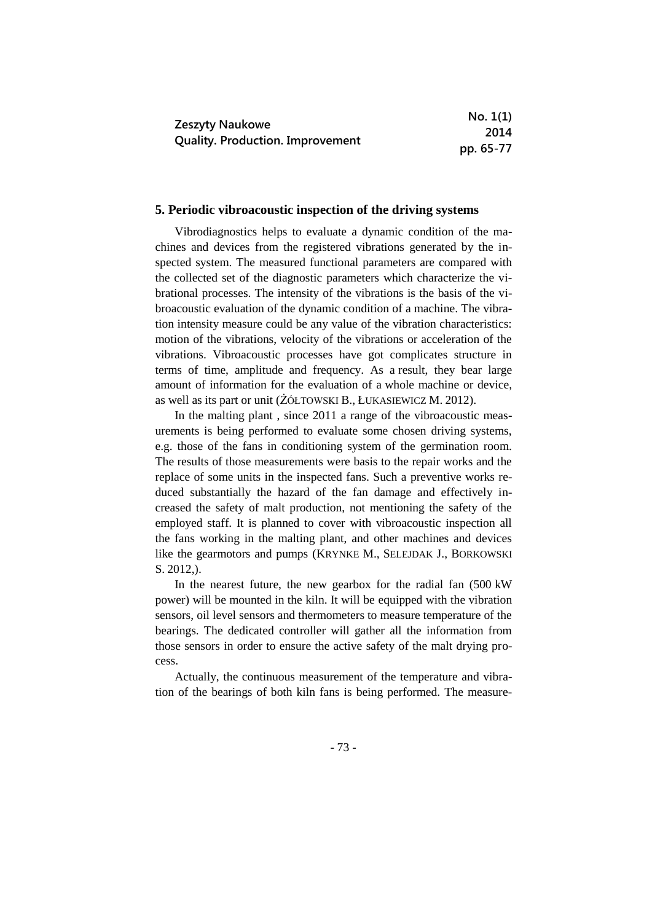|                                         | No. 1(1)  |
|-----------------------------------------|-----------|
| <b>Zeszyty Naukowe</b>                  | 2014      |
| <b>Quality. Production. Improvement</b> | pp. 65-77 |

### **5. Periodic vibroacoustic inspection of the driving systems**

Vibrodiagnostics helps to evaluate a dynamic condition of the machines and devices from the registered vibrations generated by the inspected system. The measured functional parameters are compared with the collected set of the diagnostic parameters which characterize the vibrational processes. The intensity of the vibrations is the basis of the vibroacoustic evaluation of the dynamic condition of a machine. The vibration intensity measure could be any value of the vibration characteristics: motion of the vibrations, velocity of the vibrations or acceleration of the vibrations. Vibroacoustic processes have got complicates structure in terms of time, amplitude and frequency. As a result, they bear large amount of information for the evaluation of a whole machine or device, as well as its part or unit (ŻÓŁTOWSKI B., ŁUKASIEWICZ M. 2012).

In the malting plant , since 2011 a range of the vibroacoustic measurements is being performed to evaluate some chosen driving systems, e.g. those of the fans in conditioning system of the germination room. The results of those measurements were basis to the repair works and the replace of some units in the inspected fans. Such a preventive works reduced substantially the hazard of the fan damage and effectively increased the safety of malt production, not mentioning the safety of the employed staff. It is planned to cover with vibroacoustic inspection all the fans working in the malting plant, and other machines and devices like the gearmotors and pumps (KRYNKE M., SELEJDAK J., BORKOWSKI S. 2012,).

In the nearest future, the new gearbox for the radial fan (500 kW power) will be mounted in the kiln. It will be equipped with the vibration sensors, oil level sensors and thermometers to measure temperature of the bearings. The dedicated controller will gather all the information from those sensors in order to ensure the active safety of the malt drying process.

Actually, the continuous measurement of the temperature and vibration of the bearings of both kiln fans is being performed. The measure-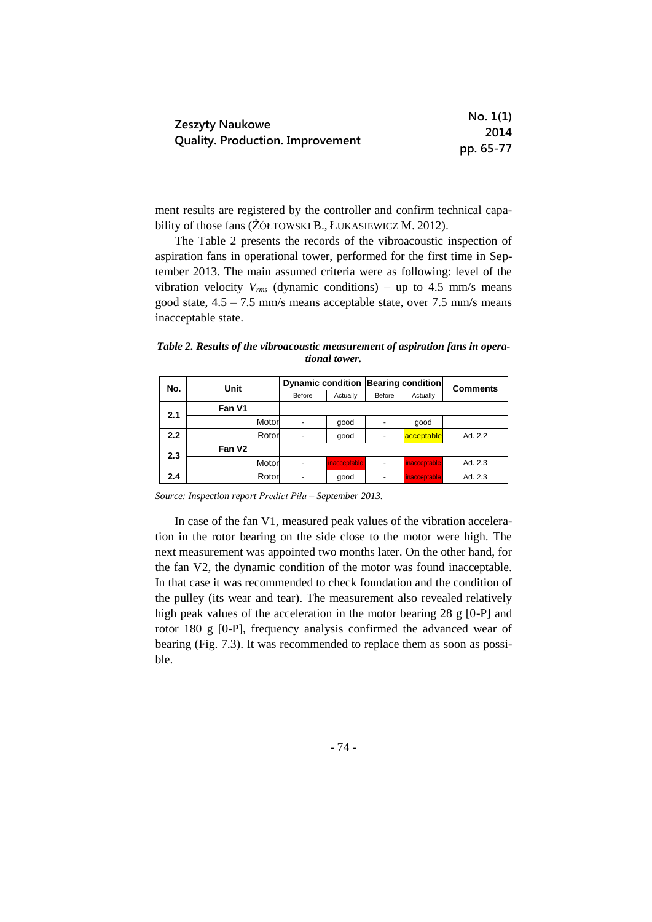|                                         | No. 1(1)  |
|-----------------------------------------|-----------|
| Zeszyty Naukowe                         | 2014      |
| <b>Quality. Production. Improvement</b> | pp. 65-77 |

ment results are registered by the controller and confirm technical capability of those fans (ŻÓŁTOWSKI B., ŁUKASIEWICZ M. 2012).

The Table 2 presents the records of the vibroacoustic inspection of aspiration fans in operational tower, performed for the first time in September 2013. The main assumed criteria were as following: level of the vibration velocity  $V_{rms}$  (dynamic conditions) – up to 4.5 mm/s means good state, 4.5 – 7.5 mm/s means acceptable state, over 7.5 mm/s means inacceptable state.

*Table 2. Results of the vibroacoustic measurement of aspiration fans in operational tower.*

| No. | Unit               |       | <b>Dynamic condition</b> |              | <b>Bearing condition</b> |              | <b>Comments</b> |
|-----|--------------------|-------|--------------------------|--------------|--------------------------|--------------|-----------------|
|     |                    |       | Before                   | Actually     | Before                   | Actually     |                 |
| 2.1 | Fan V1             |       |                          |              |                          |              |                 |
|     |                    | Motor |                          | good         |                          | qood         |                 |
| 2.2 |                    | Rotor |                          | qood         | $\overline{\phantom{a}}$ | acceptable   | Ad. 2.2         |
| 2.3 | Fan V <sub>2</sub> |       |                          |              |                          |              |                 |
|     |                    | Motor |                          | inacceptable | $\overline{\phantom{a}}$ | inacceptable | Ad. 2.3         |
| 2.4 |                    | Rotor |                          | qood         | $\overline{\phantom{a}}$ | inacceptable | Ad. 2.3         |

*Source: Inspection report Predict Piła – September 2013.*

In case of the fan V1, measured peak values of the vibration acceleration in the rotor bearing on the side close to the motor were high. The next measurement was appointed two months later. On the other hand, for the fan V2, the dynamic condition of the motor was found inacceptable. In that case it was recommended to check foundation and the condition of the pulley (its wear and tear). The measurement also revealed relatively high peak values of the acceleration in the motor bearing 28 g [0-P] and rotor 180 g [0-P], frequency analysis confirmed the advanced wear of bearing (Fig. 7.3). It was recommended to replace them as soon as possible.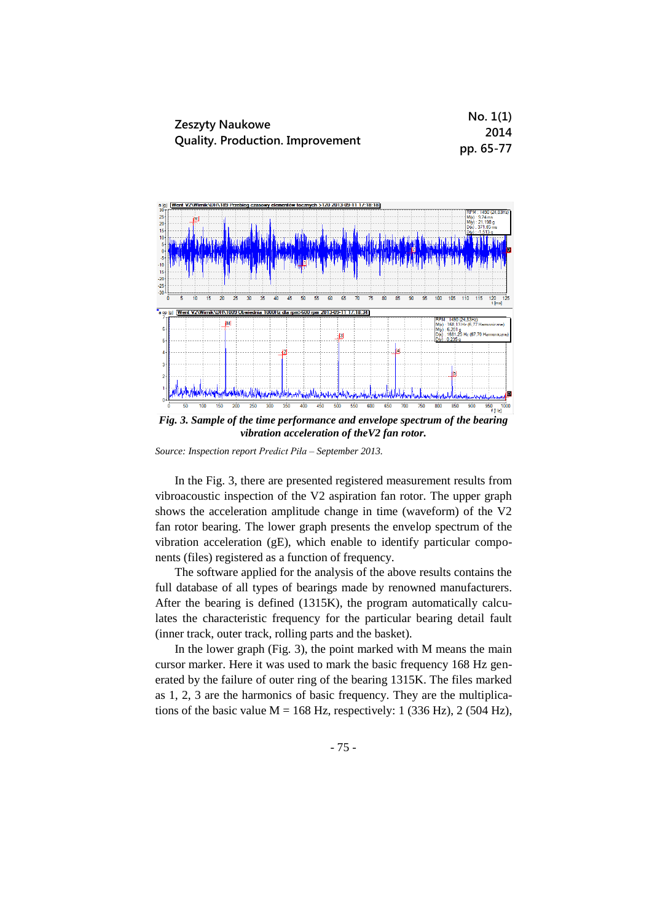|                                         | No. 1(1)  |
|-----------------------------------------|-----------|
| <b>Zeszyty Naukowe</b>                  | 2014      |
| <b>Quality. Production. Improvement</b> | pp. 65-77 |



*Fig. 3. Sample of the time performance and envelope spectrum of the bearing vibration acceleration of theV2 fan rotor.*

*Source: Inspection report Predict Piła – September 2013.*

In the Fig. 3, there are presented registered measurement results from vibroacoustic inspection of the V2 aspiration fan rotor. The upper graph shows the acceleration amplitude change in time (waveform) of the V2 fan rotor bearing. The lower graph presents the envelop spectrum of the vibration acceleration (gE), which enable to identify particular components (files) registered as a function of frequency.

The software applied for the analysis of the above results contains the full database of all types of bearings made by renowned manufacturers. After the bearing is defined (1315K), the program automatically calculates the characteristic frequency for the particular bearing detail fault (inner track, outer track, rolling parts and the basket).

In the lower graph (Fig. 3), the point marked with M means the main cursor marker. Here it was used to mark the basic frequency 168 Hz generated by the failure of outer ring of the bearing 1315K. The files marked as 1, 2, 3 are the harmonics of basic frequency. They are the multiplications of the basic value  $M = 168$  Hz, respectively: 1 (336 Hz), 2 (504 Hz),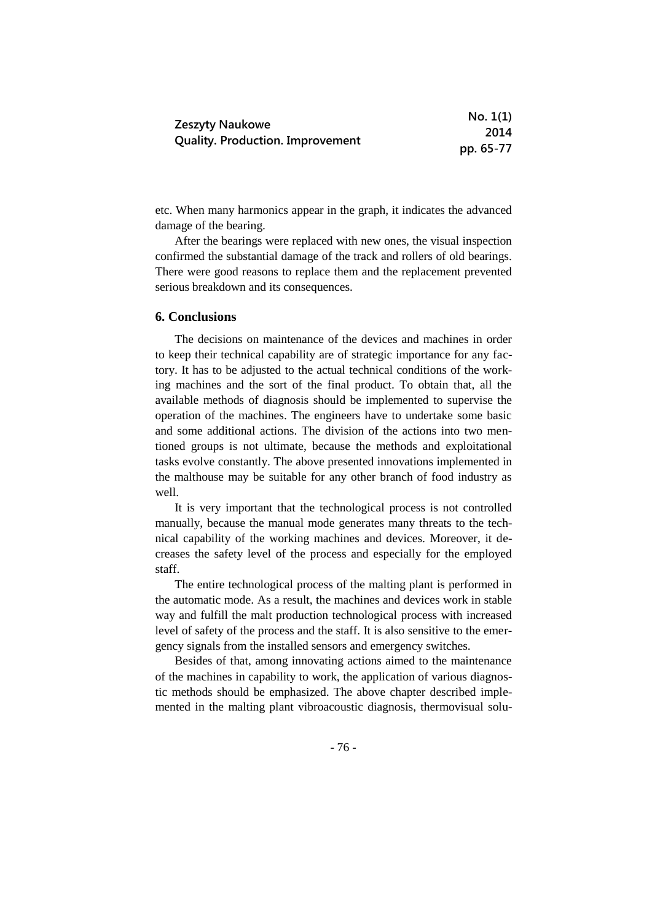|                                         | No. 1(1)  |
|-----------------------------------------|-----------|
| <b>Zeszyty Naukowe</b>                  | 2014      |
| <b>Quality. Production. Improvement</b> | pp. 65-77 |

etc. When many harmonics appear in the graph, it indicates the advanced damage of the bearing.

After the bearings were replaced with new ones, the visual inspection confirmed the substantial damage of the track and rollers of old bearings. There were good reasons to replace them and the replacement prevented serious breakdown and its consequences.

## **6. Conclusions**

The decisions on maintenance of the devices and machines in order to keep their technical capability are of strategic importance for any factory. It has to be adjusted to the actual technical conditions of the working machines and the sort of the final product. To obtain that, all the available methods of diagnosis should be implemented to supervise the operation of the machines. The engineers have to undertake some basic and some additional actions. The division of the actions into two mentioned groups is not ultimate, because the methods and exploitational tasks evolve constantly. The above presented innovations implemented in the malthouse may be suitable for any other branch of food industry as well.

It is very important that the technological process is not controlled manually, because the manual mode generates many threats to the technical capability of the working machines and devices. Moreover, it decreases the safety level of the process and especially for the employed staff.

The entire technological process of the malting plant is performed in the automatic mode. As a result, the machines and devices work in stable way and fulfill the malt production technological process with increased level of safety of the process and the staff. It is also sensitive to the emergency signals from the installed sensors and emergency switches.

Besides of that, among innovating actions aimed to the maintenance of the machines in capability to work, the application of various diagnostic methods should be emphasized. The above chapter described implemented in the malting plant vibroacoustic diagnosis, thermovisual solu-